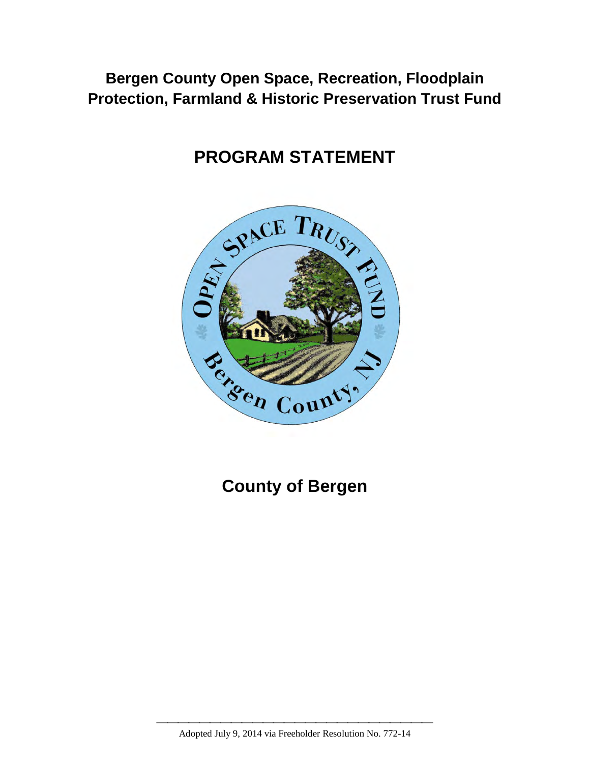# **Bergen County Open Space, Recreation, Floodplain Protection, Farmland & Historic Preservation Trust Fund**

# **PROGRAM STATEMENT**



**County of Bergen** 

 Adopted July 9, 2014 via Freeholder Resolution No. 772-14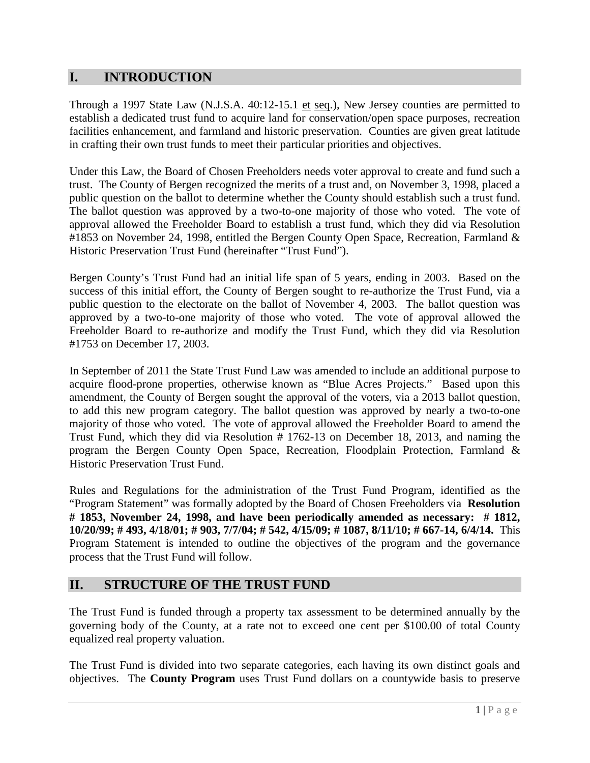## **I. INTRODUCTION**

Through a 1997 State Law (N.J.S.A. 40:12-15.1 et seq.), New Jersey counties are permitted to establish a dedicated trust fund to acquire land for conservation/open space purposes, recreation facilities enhancement, and farmland and historic preservation. Counties are given great latitude in crafting their own trust funds to meet their particular priorities and objectives.

Under this Law, the Board of Chosen Freeholders needs voter approval to create and fund such a trust. The County of Bergen recognized the merits of a trust and, on November 3, 1998, placed a public question on the ballot to determine whether the County should establish such a trust fund. The ballot question was approved by a two-to-one majority of those who voted. The vote of approval allowed the Freeholder Board to establish a trust fund, which they did via Resolution #1853 on November 24, 1998, entitled the Bergen County Open Space, Recreation, Farmland & Historic Preservation Trust Fund (hereinafter "Trust Fund").

Bergen County's Trust Fund had an initial life span of 5 years, ending in 2003. Based on the success of this initial effort, the County of Bergen sought to re-authorize the Trust Fund, via a public question to the electorate on the ballot of November 4, 2003. The ballot question was approved by a two-to-one majority of those who voted. The vote of approval allowed the Freeholder Board to re-authorize and modify the Trust Fund, which they did via Resolution #1753 on December 17, 2003.

In September of 2011 the State Trust Fund Law was amended to include an additional purpose to acquire flood-prone properties, otherwise known as "Blue Acres Projects." Based upon this amendment, the County of Bergen sought the approval of the voters, via a 2013 ballot question, to add this new program category. The ballot question was approved by nearly a two-to-one majority of those who voted. The vote of approval allowed the Freeholder Board to amend the Trust Fund, which they did via Resolution # 1762-13 on December 18, 2013, and naming the program the Bergen County Open Space, Recreation, Floodplain Protection, Farmland & Historic Preservation Trust Fund.

Rules and Regulations for the administration of the Trust Fund Program, identified as the "Program Statement" was formally adopted by the Board of Chosen Freeholders via **Resolution # 1853, November 24, 1998, and have been periodically amended as necessary: # 1812, 10/20/99; # 493, 4/18/01; # 903, 7/7/04; # 542, 4/15/09; # 1087, 8/11/10; # 667-14, 6/4/14.** This Program Statement is intended to outline the objectives of the program and the governance process that the Trust Fund will follow.

## **II. STRUCTURE OF THE TRUST FUND**

The Trust Fund is funded through a property tax assessment to be determined annually by the governing body of the County, at a rate not to exceed one cent per \$100.00 of total County equalized real property valuation.

The Trust Fund is divided into two separate categories, each having its own distinct goals and objectives. The **County Program** uses Trust Fund dollars on a countywide basis to preserve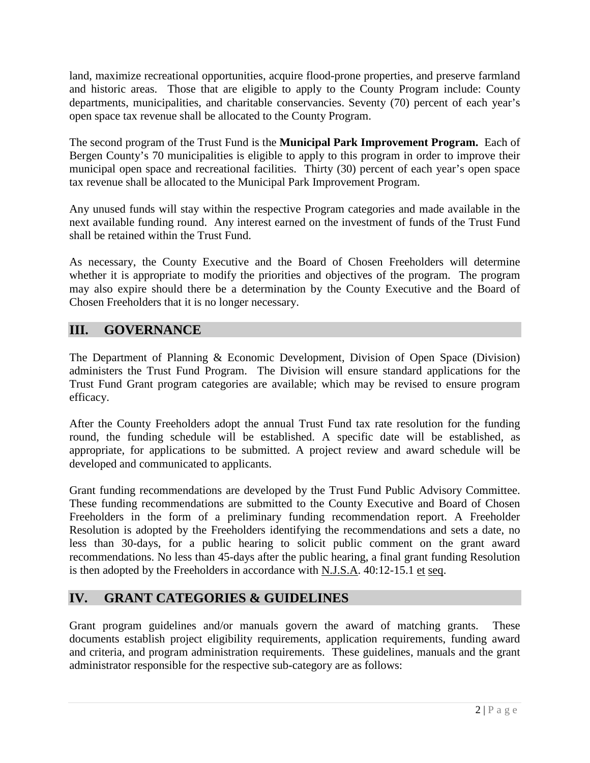land, maximize recreational opportunities, acquire flood-prone properties, and preserve farmland and historic areas. Those that are eligible to apply to the County Program include: County departments, municipalities, and charitable conservancies. Seventy (70) percent of each year's open space tax revenue shall be allocated to the County Program.

The second program of the Trust Fund is the **Municipal Park Improvement Program.** Each of Bergen County's 70 municipalities is eligible to apply to this program in order to improve their municipal open space and recreational facilities. Thirty (30) percent of each year's open space tax revenue shall be allocated to the Municipal Park Improvement Program.

Any unused funds will stay within the respective Program categories and made available in the next available funding round. Any interest earned on the investment of funds of the Trust Fund shall be retained within the Trust Fund.

As necessary, the County Executive and the Board of Chosen Freeholders will determine whether it is appropriate to modify the priorities and objectives of the program. The program may also expire should there be a determination by the County Executive and the Board of Chosen Freeholders that it is no longer necessary.

## **III. GOVERNANCE**

The Department of Planning & Economic Development, Division of Open Space (Division) administers the Trust Fund Program. The Division will ensure standard applications for the Trust Fund Grant program categories are available; which may be revised to ensure program efficacy.

After the County Freeholders adopt the annual Trust Fund tax rate resolution for the funding round, the funding schedule will be established. A specific date will be established, as appropriate, for applications to be submitted. A project review and award schedule will be developed and communicated to applicants.

Grant funding recommendations are developed by the Trust Fund Public Advisory Committee. These funding recommendations are submitted to the County Executive and Board of Chosen Freeholders in the form of a preliminary funding recommendation report. A Freeholder Resolution is adopted by the Freeholders identifying the recommendations and sets a date, no less than 30-days, for a public hearing to solicit public comment on the grant award recommendations. No less than 45-days after the public hearing, a final grant funding Resolution is then adopted by the Freeholders in accordance with N.J.S.A. 40:12-15.1 et seq.

## **IV. GRANT CATEGORIES & GUIDELINES**

Grant program guidelines and/or manuals govern the award of matching grants. These documents establish project eligibility requirements, application requirements, funding award and criteria, and program administration requirements. These guidelines, manuals and the grant administrator responsible for the respective sub-category are as follows: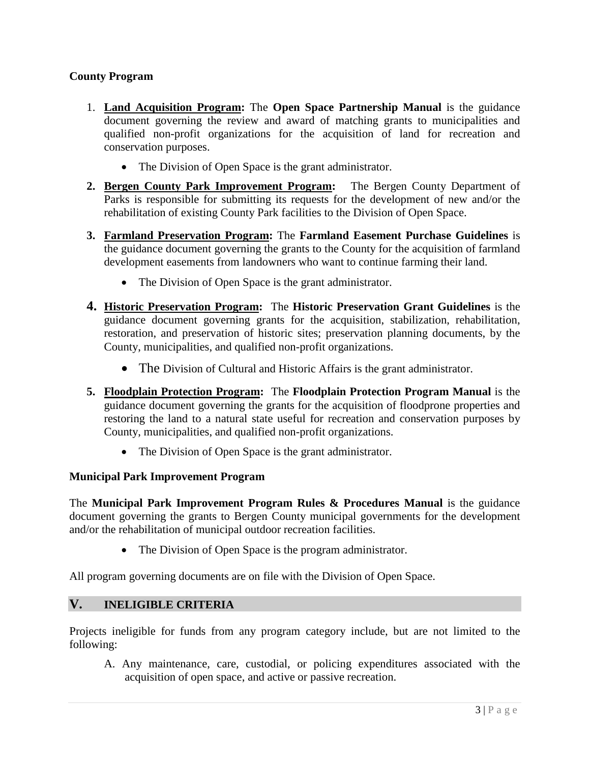#### **County Program**

- 1. **Land Acquisition Program:** The **Open Space Partnership Manual** is the guidance document governing the review and award of matching grants to municipalities and qualified non-profit organizations for the acquisition of land for recreation and conservation purposes.
	- The Division of Open Space is the grant administrator.
- **2. Bergen County Park Improvement Program:** The Bergen County Department of Parks is responsible for submitting its requests for the development of new and/or the rehabilitation of existing County Park facilities to the Division of Open Space.
- **3. Farmland Preservation Program:** The **Farmland Easement Purchase Guidelines** is the guidance document governing the grants to the County for the acquisition of farmland development easements from landowners who want to continue farming their land.
	- The Division of Open Space is the grant administrator.
- **4. Historic Preservation Program:** The **Historic Preservation Grant Guidelines** is the guidance document governing grants for the acquisition, stabilization, rehabilitation, restoration, and preservation of historic sites; preservation planning documents, by the County, municipalities, and qualified non-profit organizations.
	- The Division of Cultural and Historic Affairs is the grant administrator.
- **5. Floodplain Protection Program:** The **Floodplain Protection Program Manual** is the guidance document governing the grants for the acquisition of floodprone properties and restoring the land to a natural state useful for recreation and conservation purposes by County, municipalities, and qualified non-profit organizations.
	- The Division of Open Space is the grant administrator.

#### **Municipal Park Improvement Program**

The **Municipal Park Improvement Program Rules & Procedures Manual** is the guidance document governing the grants to Bergen County municipal governments for the development and/or the rehabilitation of municipal outdoor recreation facilities.

• The Division of Open Space is the program administrator.

All program governing documents are on file with the Division of Open Space.

#### **V. INELIGIBLE CRITERIA**

Projects ineligible for funds from any program category include, but are not limited to the following:

A. Any maintenance, care, custodial, or policing expenditures associated with the acquisition of open space, and active or passive recreation.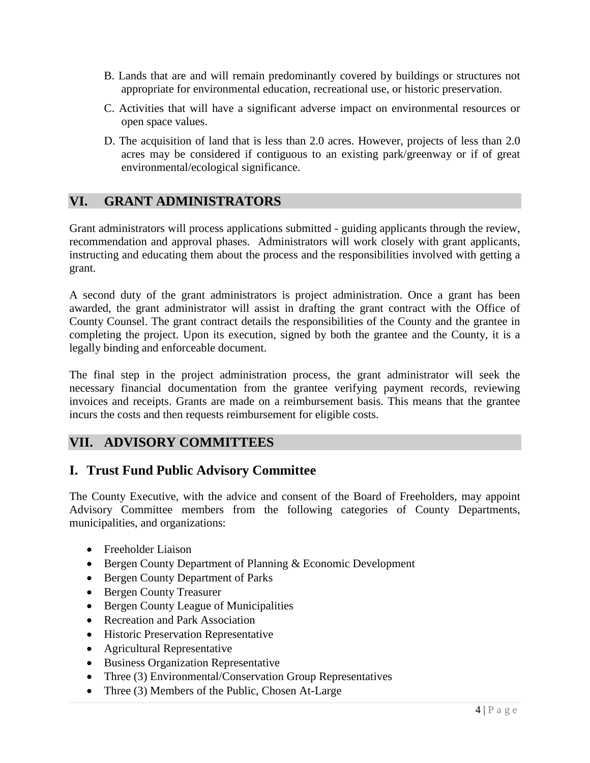- B. Lands that are and will remain predominantly covered by buildings or structures not appropriate for environmental education, recreational use, or historic preservation.
- C. Activities that will have a significant adverse impact on environmental resources or open space values.
- D. The acquisition of land that is less than 2.0 acres. However, projects of less than 2.0 acres may be considered if contiguous to an existing park/greenway or if of great environmental/ecological significance.

## **VI. GRANT ADMINISTRATORS**

Grant administrators will process applications submitted - guiding applicants through the review, recommendation and approval phases. Administrators will work closely with grant applicants, instructing and educating them about the process and the responsibilities involved with getting a grant.

A second duty of the grant administrators is project administration. Once a grant has been awarded, the grant administrator will assist in drafting the grant contract with the Office of County Counsel. The grant contract details the responsibilities of the County and the grantee in completing the project. Upon its execution, signed by both the grantee and the County, it is a legally binding and enforceable document.

The final step in the project administration process, the grant administrator will seek the necessary financial documentation from the grantee verifying payment records, reviewing invoices and receipts. Grants are made on a reimbursement basis. This means that the grantee incurs the costs and then requests reimbursement for eligible costs.

#### **VII. ADVISORY COMMITTEES**

## **I. Trust Fund Public Advisory Committee**

The County Executive, with the advice and consent of the Board of Freeholders, may appoint Advisory Committee members from the following categories of County Departments, municipalities, and organizations:

- Freeholder Liaison
- Bergen County Department of Planning & Economic Development
- Bergen County Department of Parks
- Bergen County Treasurer
- Bergen County League of Municipalities
- Recreation and Park Association
- Historic Preservation Representative
- Agricultural Representative
- Business Organization Representative
- Three (3) Environmental/Conservation Group Representatives
- Three (3) Members of the Public, Chosen At-Large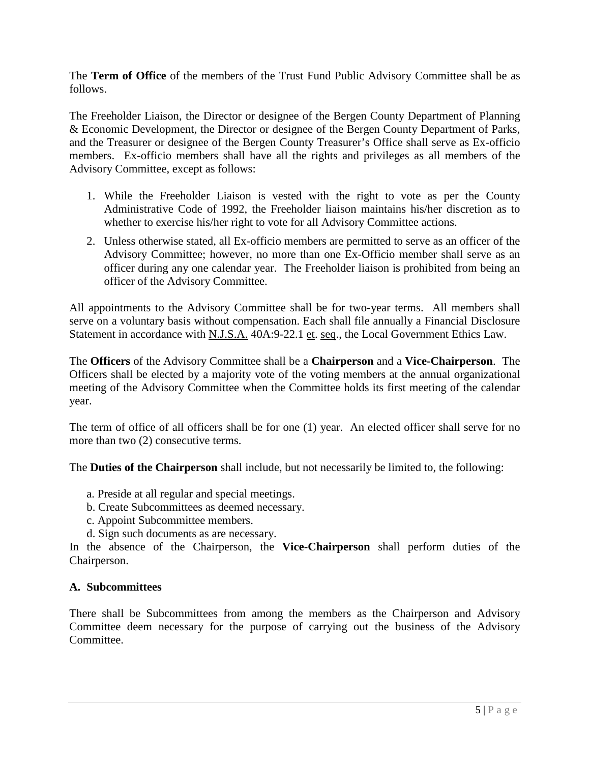The **Term of Office** of the members of the Trust Fund Public Advisory Committee shall be as follows.

The Freeholder Liaison, the Director or designee of the Bergen County Department of Planning & Economic Development, the Director or designee of the Bergen County Department of Parks, and the Treasurer or designee of the Bergen County Treasurer's Office shall serve as Ex-officio members. Ex-officio members shall have all the rights and privileges as all members of the Advisory Committee, except as follows:

- 1. While the Freeholder Liaison is vested with the right to vote as per the County Administrative Code of 1992, the Freeholder liaison maintains his/her discretion as to whether to exercise his/her right to vote for all Advisory Committee actions.
- 2. Unless otherwise stated, all Ex-officio members are permitted to serve as an officer of the Advisory Committee; however, no more than one Ex-Officio member shall serve as an officer during any one calendar year. The Freeholder liaison is prohibited from being an officer of the Advisory Committee.

All appointments to the Advisory Committee shall be for two-year terms. All members shall serve on a voluntary basis without compensation. Each shall file annually a Financial Disclosure Statement in accordance with N.J.S.A. 40A:9-22.1 et. seq., the Local Government Ethics Law.

The **Officers** of the Advisory Committee shall be a **Chairperson** and a **Vice-Chairperson**. The Officers shall be elected by a majority vote of the voting members at the annual organizational meeting of the Advisory Committee when the Committee holds its first meeting of the calendar year.

The term of office of all officers shall be for one (1) year. An elected officer shall serve for no more than two  $(2)$  consecutive terms.

The **Duties of the Chairperson** shall include, but not necessarily be limited to, the following:

- a. Preside at all regular and special meetings.
- b. Create Subcommittees as deemed necessary.
- c. Appoint Subcommittee members.
- d. Sign such documents as are necessary.

In the absence of the Chairperson, the **Vice-Chairperson** shall perform duties of the Chairperson.

#### **A. Subcommittees**

There shall be Subcommittees from among the members as the Chairperson and Advisory Committee deem necessary for the purpose of carrying out the business of the Advisory Committee.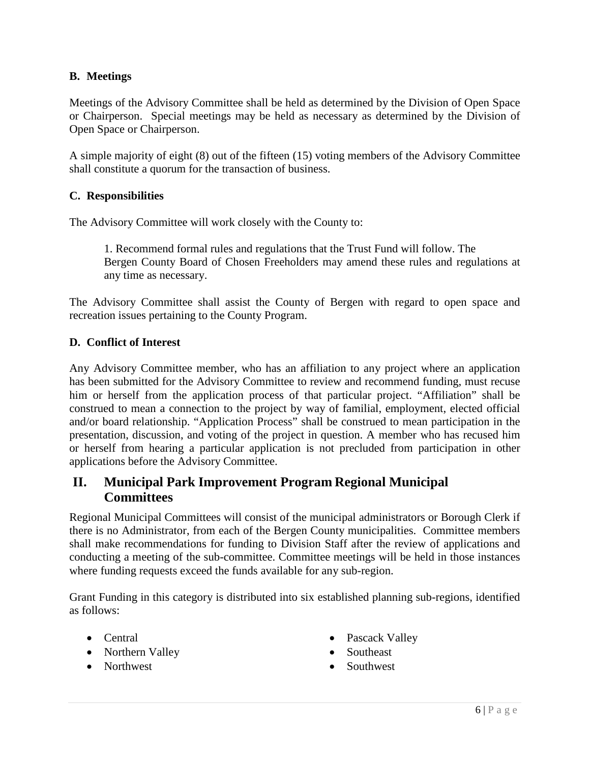#### **B. Meetings**

Meetings of the Advisory Committee shall be held as determined by the Division of Open Space or Chairperson. Special meetings may be held as necessary as determined by the Division of Open Space or Chairperson.

A simple majority of eight (8) out of the fifteen (15) voting members of the Advisory Committee shall constitute a quorum for the transaction of business.

#### **C. Responsibilities**

The Advisory Committee will work closely with the County to:

1. Recommend formal rules and regulations that the Trust Fund will follow. The Bergen County Board of Chosen Freeholders may amend these rules and regulations at any time as necessary.

The Advisory Committee shall assist the County of Bergen with regard to open space and recreation issues pertaining to the County Program.

#### **D. Conflict of Interest**

Any Advisory Committee member, who has an affiliation to any project where an application has been submitted for the Advisory Committee to review and recommend funding, must recuse him or herself from the application process of that particular project. "Affiliation" shall be construed to mean a connection to the project by way of familial, employment, elected official and/or board relationship. "Application Process" shall be construed to mean participation in the presentation, discussion, and voting of the project in question. A member who has recused him or herself from hearing a particular application is not precluded from participation in other applications before the Advisory Committee.

## **II. Municipal Park Improvement Program Regional Municipal Committees**

Regional Municipal Committees will consist of the municipal administrators or Borough Clerk if there is no Administrator, from each of the Bergen County municipalities. Committee members shall make recommendations for funding to Division Staff after the review of applications and conducting a meeting of the sub-committee. Committee meetings will be held in those instances where funding requests exceed the funds available for any sub-region.

Grant Funding in this category is distributed into six established planning sub-regions, identified as follows:

- Central
- Northern Valley
- Northwest
- Pascack Valley
- Southeast
- Southwest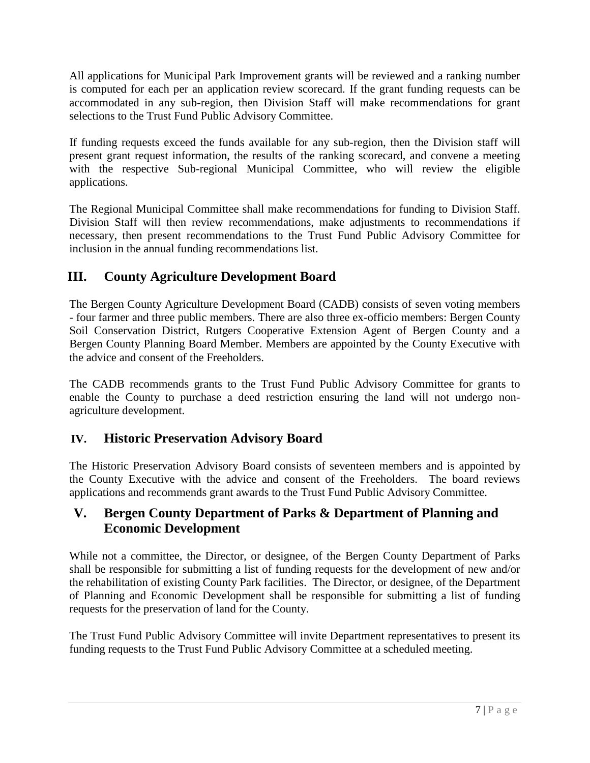All applications for Municipal Park Improvement grants will be reviewed and a ranking number is computed for each per an application review scorecard. If the grant funding requests can be accommodated in any sub-region, then Division Staff will make recommendations for grant selections to the Trust Fund Public Advisory Committee.

If funding requests exceed the funds available for any sub-region, then the Division staff will present grant request information, the results of the ranking scorecard, and convene a meeting with the respective Sub-regional Municipal Committee, who will review the eligible applications.

The Regional Municipal Committee shall make recommendations for funding to Division Staff. Division Staff will then review recommendations, make adjustments to recommendations if necessary, then present recommendations to the Trust Fund Public Advisory Committee for inclusion in the annual funding recommendations list.

# **III. County Agriculture Development Board**

The Bergen County Agriculture Development Board (CADB) consists of seven voting members - four farmer and three public members. There are also three ex-officio members: Bergen County Soil Conservation District, Rutgers Cooperative Extension Agent of Bergen County and a Bergen County Planning Board Member. Members are appointed by the County Executive with the advice and consent of the Freeholders.

The CADB recommends grants to the Trust Fund Public Advisory Committee for grants to enable the County to purchase a deed restriction ensuring the land will not undergo nonagriculture development.

## **IV. Historic Preservation Advisory Board**

The Historic Preservation Advisory Board consists of seventeen members and is appointed by the County Executive with the advice and consent of the Freeholders. The board reviews applications and recommends grant awards to the Trust Fund Public Advisory Committee.

# **V. Bergen County Department of Parks & Department of Planning and Economic Development**

While not a committee, the Director, or designee, of the Bergen County Department of Parks shall be responsible for submitting a list of funding requests for the development of new and/or the rehabilitation of existing County Park facilities. The Director, or designee, of the Department of Planning and Economic Development shall be responsible for submitting a list of funding requests for the preservation of land for the County.

The Trust Fund Public Advisory Committee will invite Department representatives to present its funding requests to the Trust Fund Public Advisory Committee at a scheduled meeting.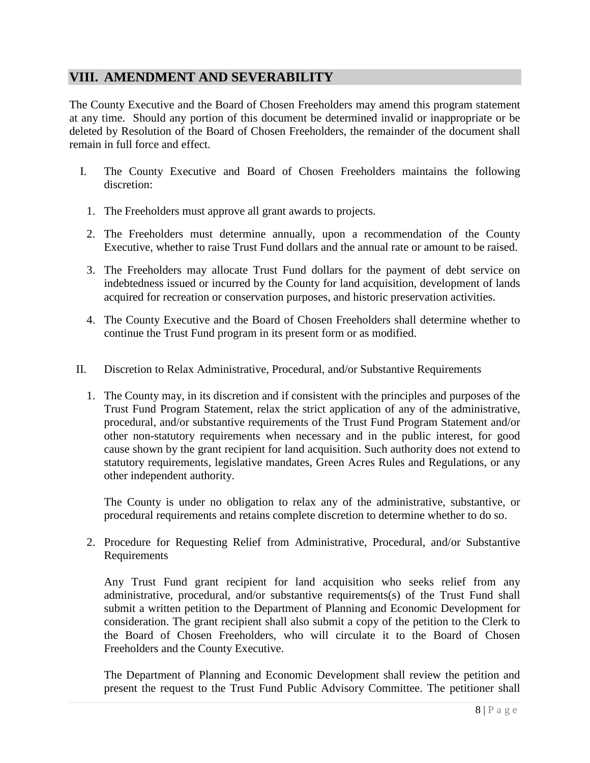### **VIII. AMENDMENT AND SEVERABILITY**

The County Executive and the Board of Chosen Freeholders may amend this program statement at any time. Should any portion of this document be determined invalid or inappropriate or be deleted by Resolution of the Board of Chosen Freeholders, the remainder of the document shall remain in full force and effect.

- I. The County Executive and Board of Chosen Freeholders maintains the following discretion:
	- 1. The Freeholders must approve all grant awards to projects.
	- 2. The Freeholders must determine annually, upon a recommendation of the County Executive, whether to raise Trust Fund dollars and the annual rate or amount to be raised.
	- 3. The Freeholders may allocate Trust Fund dollars for the payment of debt service on indebtedness issued or incurred by the County for land acquisition, development of lands acquired for recreation or conservation purposes, and historic preservation activities.
	- 4. The County Executive and the Board of Chosen Freeholders shall determine whether to continue the Trust Fund program in its present form or as modified.
- II. Discretion to Relax Administrative, Procedural, and/or Substantive Requirements
	- 1. The County may, in its discretion and if consistent with the principles and purposes of the Trust Fund Program Statement, relax the strict application of any of the administrative, procedural, and/or substantive requirements of the Trust Fund Program Statement and/or other non-statutory requirements when necessary and in the public interest, for good cause shown by the grant recipient for land acquisition. Such authority does not extend to statutory requirements, legislative mandates, Green Acres Rules and Regulations, or any other independent authority.

The County is under no obligation to relax any of the administrative, substantive, or procedural requirements and retains complete discretion to determine whether to do so.

2. Procedure for Requesting Relief from Administrative, Procedural, and/or Substantive Requirements

Any Trust Fund grant recipient for land acquisition who seeks relief from any administrative, procedural, and/or substantive requirements(s) of the Trust Fund shall submit a written petition to the Department of Planning and Economic Development for consideration. The grant recipient shall also submit a copy of the petition to the Clerk to the Board of Chosen Freeholders, who will circulate it to the Board of Chosen Freeholders and the County Executive.

The Department of Planning and Economic Development shall review the petition and present the request to the Trust Fund Public Advisory Committee. The petitioner shall